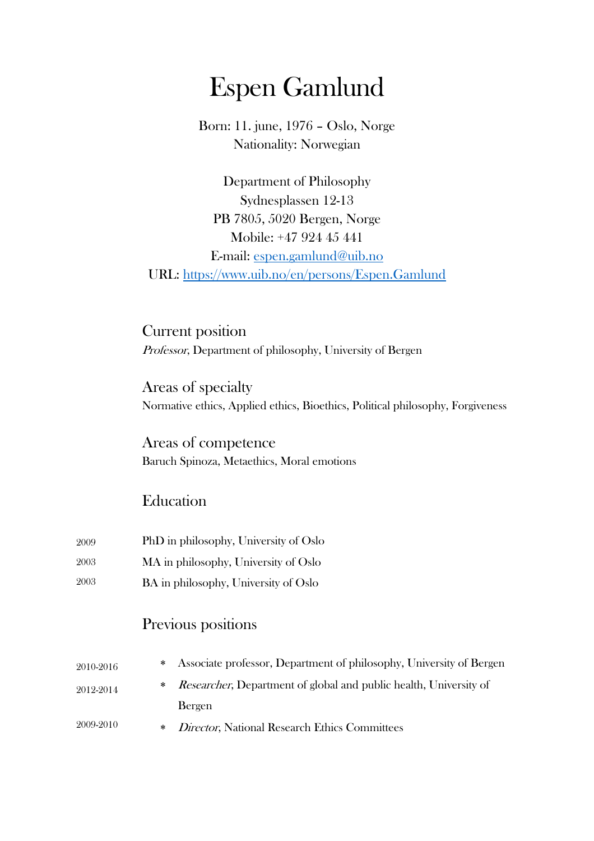# Espen Gamlund

Born: 11. june, 1976 – Oslo, Norge Nationality: Norwegian

Department of Philosophy Sydnesplassen 12-13 PB 7805, 5020 Bergen, Norge Mobile: +47 924 45 441 E-mail: espen.gamlund@uib.no URL: https://www.uib.no/en/persons/Espen.Gamlund

Current position Professor, Department of philosophy, University of Bergen

Areas of specialty Normative ethics, Applied ethics, Bioethics, Political philosophy, Forgiveness

Areas of competence Baruch Spinoza, Metaethics, Moral emotions

### Education

- 2009 PhD in philosophy, University of Oslo
- 2003 MA in philosophy, University of Oslo
- 2003 BA in philosophy, University of Oslo

### Previous positions

| 2010-2016 | * Associate professor, Department of philosophy, University of Bergen       |
|-----------|-----------------------------------------------------------------------------|
| 2012-2014 | * <i>Researcher</i> , Department of global and public health, University of |
|           | Bergen                                                                      |
| 2009-2010 | * Director, National Research Ethics Committees                             |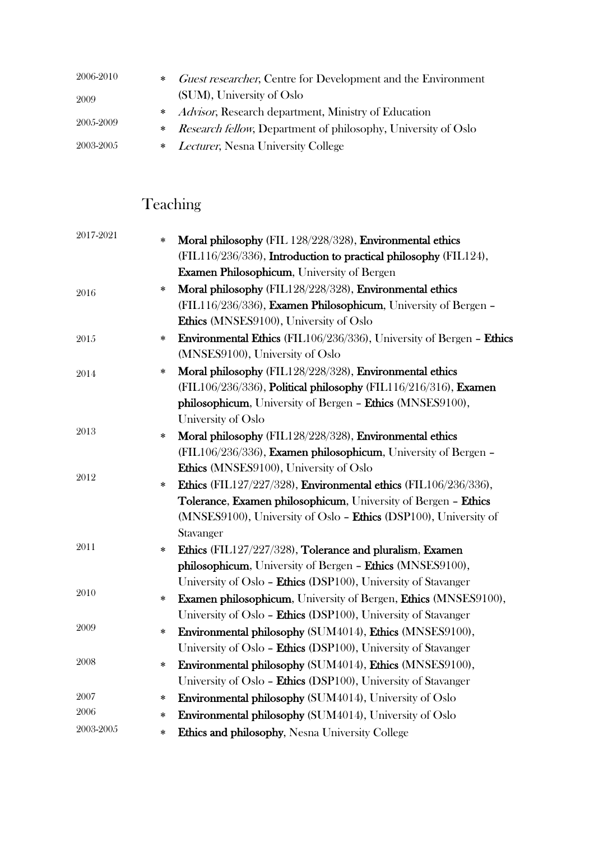| 2006-2010 | <i>Guest researcher</i> , Centre for Development and the Environment<br>$*$ |
|-----------|-----------------------------------------------------------------------------|
| 2009      | (SUM), University of Oslo                                                   |
| 2005-2009 | * <i>Advisor</i> , Research department, Ministry of Education               |
|           | * Research fellow, Department of philosophy, University of Oslo             |
| 2003-2005 | * Lecturer, Nesna University College                                        |

# Teaching

| 2017-2021 | Moral philosophy (FIL 128/228/328), Environmental ethics<br>$\ast$        |
|-----------|---------------------------------------------------------------------------|
|           | (FIL116/236/336), Introduction to practical philosophy (FIL124),          |
|           | <b>Examen Philosophicum</b> , University of Bergen                        |
| 2016      | Moral philosophy (FIL128/228/328), Environmental ethics<br>$\ast$         |
|           | (FIL116/236/336), Examen Philosophicum, University of Bergen -            |
|           | Ethics (MNSES9100), University of Oslo                                    |
| 2015      | Environmental Ethics (FIL106/236/336), University of Bergen - Ethics<br>∗ |
|           | (MNSES9100), University of Oslo                                           |
| 2014      | Moral philosophy (FIL128/228/328), Environmental ethics<br>∗              |
|           | (FIL106/236/336), Political philosophy (FIL116/216/316), Examen           |
|           | philosophicum, University of Bergen - Ethics (MNSES9100),                 |
|           | University of Oslo                                                        |
| $2013\,$  | Moral philosophy (FIL128/228/328), Environmental ethics<br>∗              |
|           | (FIL106/236/336), Examen philosophicum, University of Bergen -            |
| 2012      | Ethics (MNSES9100), University of Oslo                                    |
|           | Ethics (FIL127/227/328), Environmental ethics (FIL106/236/336),<br>$\ast$ |
|           | Tolerance, Examen philosophicum, University of Bergen - Ethics            |
|           | (MNSES9100), University of Oslo - Ethics (DSP100), University of          |
|           | Stavanger                                                                 |
| 2011      | Ethics (FIL127/227/328), Tolerance and pluralism, Examen<br>$\ast$        |
|           | philosophicum, University of Bergen - Ethics (MNSES9100),                 |
| 2010      | University of Oslo - Ethics (DSP100), University of Stavanger             |
|           | Examen philosophicum, University of Bergen, Ethics (MNSES9100),<br>$\ast$ |
|           | University of Oslo - Ethics (DSP100), University of Stavanger             |
| 2009      | Environmental philosophy (SUM4014), Ethics (MNSES9100),<br>∗              |
|           | University of Oslo - Ethics (DSP100), University of Stavanger             |
| 2008      | Environmental philosophy (SUM4014), Ethics (MNSES9100),<br>$\ast$         |
|           | University of Oslo - Ethics (DSP100), University of Stavanger             |
| 2007      | <b>Environmental philosophy (SUM4014), University of Oslo</b><br>$\ast$   |
| 2006      | Environmental philosophy (SUM4014), University of Oslo<br>∗               |
| 2003-2005 | Ethics and philosophy, Nesna University College<br>$\ast$                 |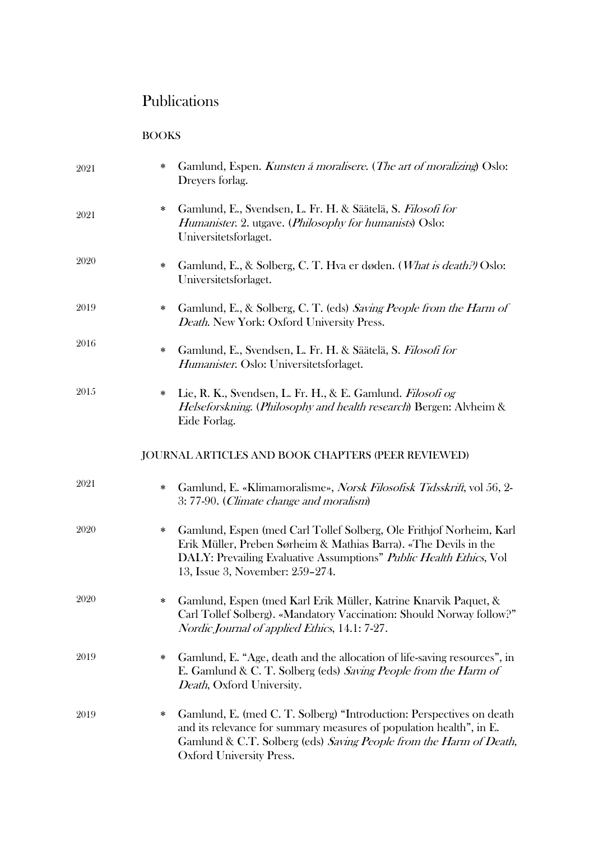## Publications

BOOKS

| 2021 | * | Gamlund, Espen. Kunsten å moralisere. (The art of moralizing) Oslo:<br>Dreyers forlag.                                                                                                                                                               |
|------|---|------------------------------------------------------------------------------------------------------------------------------------------------------------------------------------------------------------------------------------------------------|
| 2021 | ∗ | Gamlund, E., Svendsen, L. Fr. H. & Säätelä, S. Filosofi for<br><i>Humanister. 2. utgave. (Philosophy for humanists)</i> Oslo:<br>Universitetsforlaget.                                                                                               |
| 2020 | ∗ | Gamlund, E., & Solberg, C. T. Hva er døden. (What is death.) Oslo:<br>Universitetsforlaget.                                                                                                                                                          |
| 2019 | ∗ | Gamlund, E., & Solberg, C. T. (eds) Saving People from the Harm of<br>Death. New York: Oxford University Press.                                                                                                                                      |
| 2016 | ∗ | Gamlund, E., Svendsen, L. Fr. H. & Säätelä, S. Filosofi for<br>Humanister. Oslo: Universitetsforlaget.                                                                                                                                               |
| 2015 | ∗ | Lie, R. K., Svendsen, L. Fr. H., & E. Gamlund. Filosofi og<br>Helseforskning. (Philosophy and health research) Bergen: Alvheim &<br>Eide Forlag.                                                                                                     |
|      |   | <b>JOURNAL ARTICLES AND BOOK CHAPTERS (PEER REVIEWED)</b>                                                                                                                                                                                            |
| 2021 | ∗ | Gamlund, E. «Klimamoralisme», <i>Norsk Filosofisk Tidsskrift</i> , vol 56, 2-<br>3:77-90. (Climate change and moralism)                                                                                                                              |
| 2020 | ∗ | Gamlund, Espen (med Carl Tollef Solberg, Ole Frithjof Norheim, Karl<br>Erik Müller, Preben Sørheim & Mathias Barra). «The Devils in the<br>DALY: Prevailing Evaluative Assumptions" Public Health Ethics, Vol<br>13, Issue 3, November: 259-274.     |
| 2020 | * | Gamlund, Espen (med Karl Erik Müller, Katrine Knarvik Paquet, &<br>Carl Tollef Solberg). «Mandatory Vaccination: Should Norway follow?"<br>Nordic Journal of applied Ethics, 14.1: 7-27.                                                             |
| 2019 | ∗ | Gamlund, E. "Age, death and the allocation of life-saving resources", in<br>E. Gamlund & C. T. Solberg (eds) Saving People from the Harm of<br>Death, Oxford University.                                                                             |
| 2019 | ∗ | Gamlund, E. (med C. T. Solberg) "Introduction: Perspectives on death<br>and its relevance for summary measures of population health", in E.<br>Gamlund & C.T. Solberg (eds) Saving People from the Harm of Death,<br><b>Oxford University Press.</b> |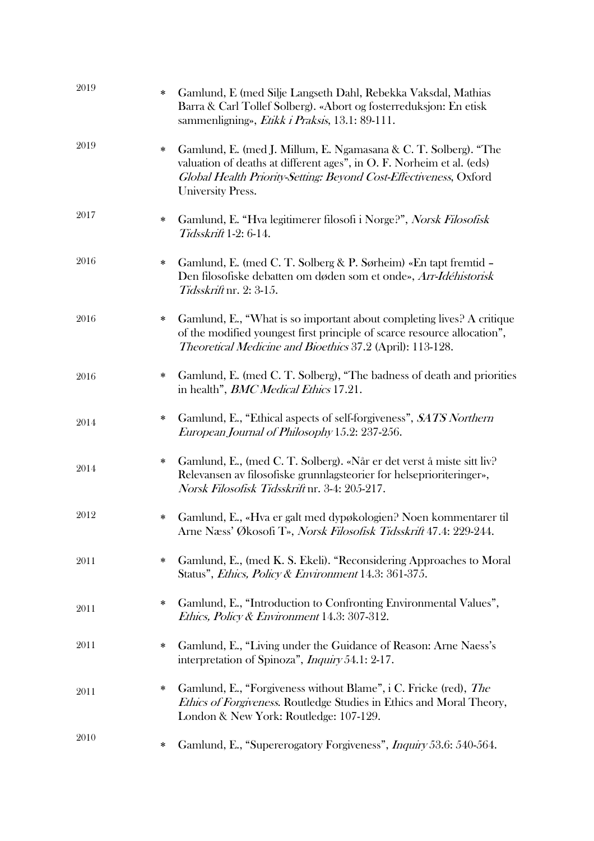| 2019 | $\ast$ | Gamlund, E (med Silje Langseth Dahl, Rebekka Vaksdal, Mathias<br>Barra & Carl Tollef Solberg). «Abort og fosterreduksjon: En etisk<br>sammenligning», Etikk i Praksis, 13.1: 89-111.                                                      |
|------|--------|-------------------------------------------------------------------------------------------------------------------------------------------------------------------------------------------------------------------------------------------|
| 2019 | *      | Gamlund, E. (med J. Millum, E. Ngamasana & C. T. Solberg). "The<br>valuation of deaths at different ages", in O. F. Norheim et al. (eds)<br>Global Health Priority-Setting: Beyond Cost-Effectiveness, Oxford<br><b>University Press.</b> |
| 2017 | ∗      | Gamlund, E. "Hva legitimerer filosofi i Norge?", Norsk Filosofisk<br>Tidsskrift 1-2: 6-14.                                                                                                                                                |
| 2016 | ∗      | Gamlund, E. (med C. T. Solberg & P. Sørheim) «En tapt fremtid –<br>Den filosofiske debatten om døden som et onde», Arr-Idéhistorisk<br>Tidsskrift nr. 2: 3-15.                                                                            |
| 2016 | ∗      | Gamlund, E., "What is so important about completing lives? A critique<br>of the modified youngest first principle of scarce resource allocation",<br><i>Theoretical Medicine and Bioethics</i> 37.2 (April): 113-128.                     |
| 2016 | ∗      | Gamlund, E. (med C. T. Solberg), "The badness of death and priorities<br>in health", <i>BMC Medical Ethics</i> 17.21.                                                                                                                     |
| 2014 | ∗      | Gamlund, E., "Ethical aspects of self-forgiveness", SATS Northern<br>European Journal of Philosophy 15.2: 237-256.                                                                                                                        |
| 2014 | ∗      | Gamlund, E., (med C. T. Solberg). «Når er det verst å miste sitt liv?<br>Relevansen av filosofiske grunnlagsteorier for helseprioriteringer»,<br>Norsk Filosofisk Tidsskrift nr. 3-4: 205-217.                                            |
| 2012 | ∗      | Gamlund, E., «Hva er galt med dypøkologien? Noen kommentarer til<br>Arne Næss' Økosofi T», Norsk Filosofisk Tidsskrift 47.4: 229-244.                                                                                                     |
| 2011 | ∗      | Gamlund, E., (med K. S. Ekeli). "Reconsidering Approaches to Moral<br>Status", <i>Ethics, Policy &amp; Environment</i> 14.3: 361-375.                                                                                                     |
| 2011 | ∗      | Gamlund, E., "Introduction to Confronting Environmental Values",<br>Ethics, Policy & Environment 14.3: 307-312.                                                                                                                           |
| 2011 | ∗      | Gamlund, E., "Living under the Guidance of Reason: Arne Naess's<br>interpretation of Spinoza", Inquiry 54.1: 2-17.                                                                                                                        |
| 2011 | ∗      | Gamlund, E., "Forgiveness without Blame", i C. Fricke (red), <i>The</i><br>Ethics of Forgiveness. Routledge Studies in Ethics and Moral Theory,<br>London & New York: Routledge: 107-129.                                                 |
| 2010 | ∗      | Gamlund, E., "Supererogatory Forgiveness", <i>Inquiry</i> 53.6: 540-564.                                                                                                                                                                  |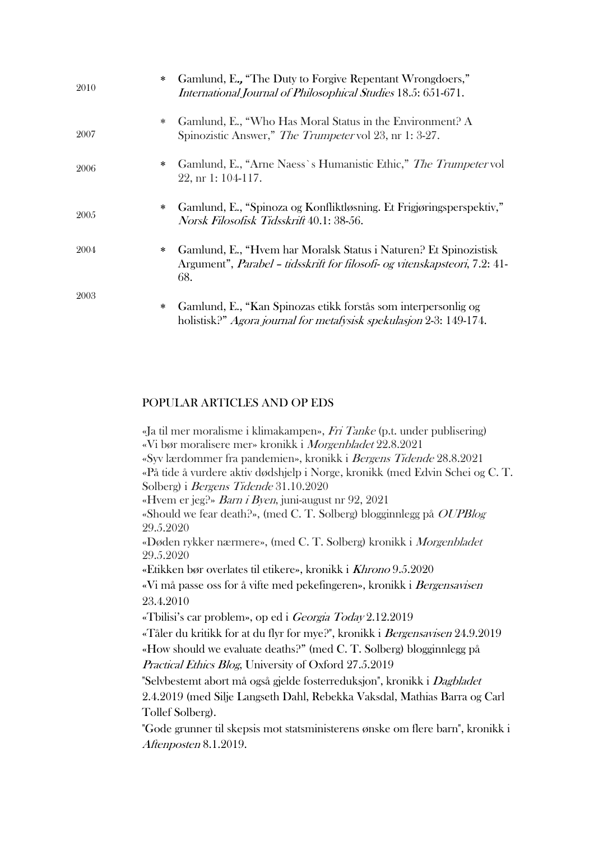| 2010 | Gamlund, E., "The Duty to Forgive Repentant Wrongdoers,"<br>$\ast$<br>International Journal of Philosophical Studies 18.5: 651-671.                                |
|------|--------------------------------------------------------------------------------------------------------------------------------------------------------------------|
| 2007 | Gamlund, E., "Who Has Moral Status in the Environment? A<br>∗<br>Spinozistic Answer," The Trumpeter vol 23, nr 1: 3-27.                                            |
| 2006 | Gamlund, E., "Arne Naess's Humanistic Ethic," The Trumpeter vol<br>∗<br>$22$ , nr 1: 104-117.                                                                      |
| 2005 | Gamlund, E., "Spinoza og Konfliktløsning. Et Frigjøringsperspektiv,"<br>$\ast$<br>Norsk Filosofisk Tidsskrift 40.1: 38-56.                                         |
| 2004 | Gamlund, E., "Hvem har Moralsk Status i Naturen? Et Spinozistisk<br>∗<br>Argument", <i>Parabel - tidsskrift for filosofi- og vitenskapsteori</i> , 7.2: 41-<br>68. |
| 2003 | Gamlund, E., "Kan Spinozas etikk forstås som interpersonlig og<br>∗<br>holistisk?" Agora journal for metafysisk spekulasjon 2-3: 149-174.                          |

#### POPULAR ARTICLES AND OP EDS

«Ja til mer moralisme i klimakampen», Fri Tanke (p.t. under publisering) «Vi bør moralisere mer» kronikk i Morgenbladet 22.8.2021 «Syv lærdommer fra pandemien», kronikk i Bergens Tidende 28.8.2021 «På tide å vurdere aktiv dødshjelp i Norge, kronikk (med Edvin Schei og C. T. Solberg) i Bergens Tidende 31.10.2020 «Hvem er jeg?» Barn i Byen, juni-august nr 92, 2021 «Should we fear death?», (med C. T. Solberg) blogginnlegg på OUPBlog 29.5.2020 «Døden rykker nærmere», (med C. T. Solberg) kronikk i Morgenbladet 29.5.2020 «Etikken bør overlates til etikere», kronikk i Khrono 9.5.2020 «Vi må passe oss for å vifte med pekefingeren», kronikk i Bergensavisen 23.4.2010 «Tbilisi's car problem», op ed i Georgia Today 2.12.2019 «Tåler du kritikk for at du flyr for mye?", kronikk i Bergensavisen 24.9.2019 «How should we evaluate deaths?" (med C. T. Solberg) blogginnlegg på Practical Ethics Blog, University of Oxford 27.5.2019 "Selvbestemt abort må også gjelde fosterreduksjon", kronikk i Dagbladet 2.4.2019 (med Silje Langseth Dahl, Rebekka Vaksdal, Mathias Barra og Carl Tollef Solberg). "Gode grunner til skepsis mot statsministerens ønske om flere barn", kronikk i Aftenposten 8.1.2019.